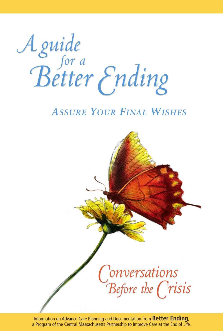*A guide Better Ending A guide Better Ending for a*

# *ASSURE YOUR FINAL WISHES*



Information on Advance Care Planning and Documentation from **Better Ending**, a Program of the Central Massachusetts Partnership to Improve Care at the End of Life.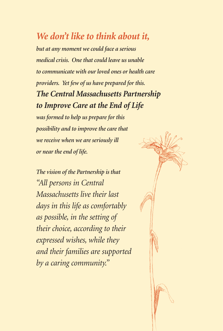# *We don't like to think about it,*

*but at any moment we could face a serious medical crisis. One that could leave us unable to communicate with our loved ones or health care providers. Yet few of us have prepared for this. The Central Massachusetts Partnership to Improve Care at the End of Life*

*was formed to help us prepare for this possibility and to improve the care that we receive when we are seriously ill or near the end of life.*

*The vision of the Partnership is that "All persons in Central Massachusetts live their last days in this life as comfortably as possible, in the setting of their choice, according to their expressed wishes, while they and their families are supported by a caring community."*

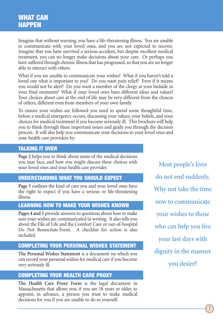Imagine that without warning, you have a life-threatening illness. You are unable to communicate with your loved ones, and you are not expected to recover. Imagine that you have survived a serious accident, but despite excellent medical treatment, you can no longer make decisions about your care. Or perhaps you have suffered through chronic illness that has progressed, so that you are no longer able to interact with others.

What if you are unable to communicate your wishes? What if you haven't told a loved one what is important to you? Do you want pain relief? Even if it means you would not be alert? Do you want a member of the clergy at your bedside in your final moments? What if your loved ones have different ideas and values? Your choices about care at the end of life may be very different from the choices of others, different even from members of your own family.

To ensure your wishes are followed you need to spend some thoughtful time, before a medical emergency occurs, discussing your values, your beliefs, and your choices for medical treatment if you become seriously ill. This brochure will help you to think through these important issues and guide you through the decision process. It will also help you communicate your decisions to your loved ones and your health care providers by:

### **TALKING IT OVER**

**Page 2** helps you to think about some of the medical decisions you may face, and how you might discuss these choices with your loved ones and your health care provider.

### **UNDERSTANDING WHAT YOU SHOULD EXPECT**

**Page 3** outlines the kind of care you and your loved ones have the right to expect if you have a serious or life-threatening illness.

### **LEARNING HOW TO MAKE YOUR WISHES KNOWN**

**Pages 4 and 5** provide answers to questions about how to make sure your wishes are communicated in writing. It also tells you about the File of Life and the Comfort Care or out-of-hospital Do Not Resuscitate Form. A checklist for action is also included.

#### **COMPLETING YOUR PERSONAL WISHES STATEMENT**

**The Personal Wishes Statement** is a document on which you can record your personal wishes for medical care if you become very seriously ill.

#### **COMPLETING YOUR HEALTH CARE PROXY**

**The Health Care Proxy Form** is the legal document in Massachusetts that allows you, if you are 18 years or older, to appoint, in advance, a person you trust to make medical decisions for you if you are unable to do so yourself.

**Most people's lives do not end suddenly. Why not take the time now to communicate your wishes to those who can help you live your last days with dignity in the manner you desire?**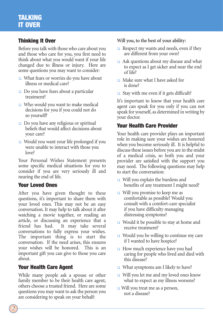## **TALKING IT OVER**

### **Thinking It Over**

Before you talk with those who care about you and those who care for you, you first need to think about what you would want if your life changed due to illness or injury. Here are some questions you may want to consider:

- u What fears or worries do you have about illness or medical care?
- u Do you have fears about a particular treatment?
- u Who would you want to make medical decisions for you if you could not do so yourself?
- u Do you have any religious or spiritual beliefs that would affect decisions about your care?
- u Would you want your life prolonged if you were unable to interact with those you love?

Your Personal Wishes Statement presents some specific medical situations for you to consider if you are very seriously ill and nearing the end of life.

### **Your Loved Ones**

After you have given thought to these questions, it's important to share them with your loved ones. This may not be an easy conversation. It may help to talk about it after watching a movie together, or reading an article, or discussing an experience that a friend has had. It may take several conversations to fully express your wishes. The important thing is to start the conversation. If the need arises, this ensures your wishes will be honored. This is an important gift you can give to those you care about.

### **Your Health Care Agent**

While many people ask a spouse or other family member to be their health care agent, others choose a trusted friend. Here are some questions you may want to ask the person you are considering to speak on your behalf:

**Will you, to the best of your ability:**

- u Respect my wants and needs, even if they are different from your own?
- u Ask questions about my disease and what to expect as I get sicker and near the end of life?
- u Make sure what I have asked for is done?
- u Stay with me even if it gets difficult?

It's important to know that your health care agent can speak for you only if you can not speak for yourself, as determined in writing by your doctor.

### **Your Health Care Provider**

Your health care provider plays an important role in making sure your wishes are honored when you become seriously ill. It is helpful to discuss these issues before you are in the midst of a medical crisis, so both you and your provider are satisfied with the support you may need. The following questions may help to start the conversation:

- u Will you explain the burdens and benefits of any treatment I might need?
- u Will you promise to keep me as comfortable as possible? Would you consult with a comfort-care specialist if you have difficulty managing distressing symptoms?
- u Would it be possible to stay at home and receive treatment?
- u Would you be willing to continue my care if I wanted to have hospice?
- u How much experience have you had caring for people who lived and died with this disease?
- u What symptoms am I likely to have?
- u Will you let me and my loved ones know what to expect as my illness worsens?
- u Will you treat me as a person, not a disease?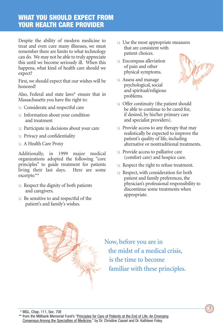### **WHAT YOU SHOULD EXPECT FROM YOUR HEALTH CARE PROVIDER**

Despite the ability of modern medicine to treat and even cure many illnesses, we must remember there are limits to what technology can do. We may not be able to truly appreciate this until we become seriously ill. When this happens, what kind of health care should we expect?

First, we should expect that our wishes will be honored!

Also, Federal and state laws\* ensure that in Massachusetts you have the right to:

- u Considerate and respectful care
- u Information about your condition and treatment
- u Participate in decisions about your care
- u Privacy and confidentiality
- u A Health Care Proxy

Additionally, in 1999 major medical organizations adopted the following "core principles" to guide treatment for patients living their last days. Here are some excerpts:\*\*

- u Respect the dignity of both patients and caregivers.
- u Be sensitive to and respectful of the patient's and family's wishes.
- u Use the most appropriate measures that are consistent with patient choices.
- u Encompass alleviation of pain and other physical symptoms.
- u Assess and manage psychological, social and spiritual/religious problems.



- u Provide access to any therapy that may realistically be expected to improve the patient's quality of life, including alternative or nontraditional treatments.
- u Provide access to palliative care (comfort care) and hospice care.
- u Respect the right to refuse treatment.
- u Respect, with consideration for both patient and family preferences, the physician's professional responsibility to discontinue some treatments when appropriate.



**Now, before you are in the midst of a medical crisis, is the time to become familiar with these principles.**

*3*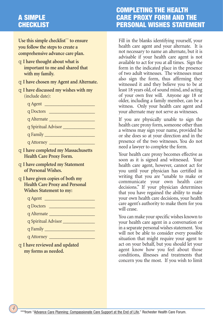## **A SIMPLE CHECKLIST**

**Use this simple checklist\*\*\* to ensure you follow the steps to create a comprehensive advance care plan.**

- q **I have thought about what is important to me and shared that with my family.**
- q **I have chosen my Agent and Alternate.**
- q **I have discussed my wishes with my** (include date):
	- $q$  Agent  $\qquad \qquad$ q Doctors \_\_\_\_\_\_\_\_\_\_\_\_\_\_\_\_\_\_\_\_ q Alternate \_\_\_\_\_\_\_\_\_\_\_\_\_\_\_\_\_\_\_\_ q Spiritual Advisor \_\_\_\_\_\_\_\_\_\_\_\_\_\_

q Family \_\_\_\_\_\_\_\_\_\_\_\_\_\_\_\_\_\_\_\_\_\_

q Attorney \_\_\_\_\_\_\_\_\_\_\_\_\_\_\_\_\_\_\_\_

- q **I have completed my Massachusetts Health Care Proxy Form.**
- q **I have completed my Statement of Personal Wishes.**
- q **I have given copies of both my Health Care Proxy and Personal Wishes Statement to my:**
	- $q$  Agent  $\qquad \qquad$
	- q Doctors \_\_\_\_\_\_\_\_\_\_\_\_\_\_\_\_\_\_\_\_
	- q Alternate \_\_\_\_\_\_\_\_\_\_\_\_\_\_\_\_\_\_\_\_
	- q Spiritual Advisor \_\_\_\_\_\_\_\_\_\_\_\_\_\_
	- $q$  Family  $\qquad \qquad$
	- q Attorney \_\_\_\_\_\_\_\_\_\_\_\_\_\_\_\_\_\_\_\_

*4*

q **I have reviewed and updated my forms as needed.**

## **COMPLETING THE HEALTH CARE PROXY FORM AND THE PERSONAL WISHES STATEMENT**

Fill in the blanks identifying yourself, your health care agent and your alternate. It is not necessary to name an alternate, but it is advisable if your health care agent is not available to act for you at all times. Sign the form in the indicated place in the presence of two adult witnesses. The witnesses must also sign the form, thus affirming they witnessed it and they believe you to be at least 18 years old, of sound mind, and acting of your own free will. Anyone age 18 or older, including a family member, can be a witness. Only your health care agent and your alternate may not serve as witnesses.

If you are physically unable to sign the health care proxy form, someone other than a witness may sign your name, provided he or she does so at your direction and in the presence of the two witnesses. You do not need a lawyer to complete the form.

Your health care proxy becomes effective as soon as it is signed and witnessed. Your health care agent, however, cannot act for you until your physician has certified in writing that you are "unable to make or communicate your own health care decisions." If your physician determines that you have regained the ability to make your own health care decisions, your health care agent's authority to make them for you will cease.

You can make your specific wishes known to your health care agent in a conversation or in a separate personal wishes statement. You will not be able to consider every possible situation that might require your agent to act on your behalf, but you should let your agent know how you feel about those conditions, illnesses and treatments that concern you the most. If you wish to limit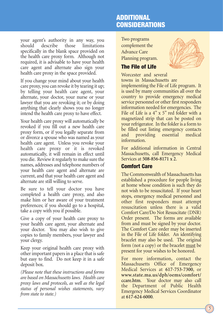#### your agent's authority in any way, you should describe those limitations specifically in the blank space provided on the health care proxy form. Although not required, it is advisable to have your health care agent and alternate also sign your health care proxy in the space provided.

If you change your mind about your health care proxy, you can revoke it by tearing it up; by telling your health care agent, your alternate, your doctor, your nurse or your lawyer that you are revoking it; or by doing anything that clearly shows you no longer intend the health care proxy to have effect.

Your health care proxy will automatically be revoked if you fill out a new health care proxy form, or if you legally separate from or divorce a spouse who was named as your health care agent. Unless you revoke your health care proxy or it is revoked automatically, it will remain in effect until you die. Review it regularly to make sure the names, addresses and telephone numbers of your health care agent and alternate are current, and that your health care agent and alternate are still willing to serve.

Be sure to tell your doctor you have completed a health care proxy, and also make him or her aware of your treatment preferences; if you should go to a hospital, take a copy with you if possible.

Give a copy of your health care proxy to your health care agent, your alternate and your doctor. You may also wish to give copies to family members, your lawyer and your clergy.

Keep your original health care proxy with other important papers in a place that is safe but easy to find. Do not keep it in a safe deposit box.

*(Please note that these instructions and forms are based on Massachusetts laws. Health care proxy laws and protocols, as well as the legal status of personal wishes statements, vary from state to state.)*

### **ADDITIONAL CONSIDERATIONS**

Two programs complement the Advance Care Planning program.

### **The File of Life**

Worcester and several



towns in Massachusetts are implementing the File of Life program. It is used by many communities all over the country to provide emergency medical service personnel or other first responders information needed for emergencies. The File of Life is a 4" x 5" red folder with a magnetized strip that can be posted on your refrigerator. In the folder is a form to be filled out listing emergency contacts and providing essential medical information.

For additional information in Central Massachusetts, call Emergency Medical Services at **508-856-8171 x 2**.

### **Comfort Care**

The Commonwealth of Massachusetts has established a procedure for people living at home whose condition is such they do not wish to be resuscitated. If your heart stops, emergency medical personnel and other first responders must attempt resuscitation unless there is a valid Comfort Care/Do Not Resuscitate (DNR) Order present. The forms are available from and must be signed by your doctor. The Comfort Care order may be inserted in the File of Life folder. An identifying bracelet may also be used. The original form (not a copy) or the bracelet must be present for your wishes to be honored.

For more information, contact the Massachusetts Office of Emergency Medical Services at **617-753-7300**, or **www.state.ma.us/dph/oems/comfort/ ccare.htm**. Your doctor may also call the Department of Public Health Emergency Medical Services Coordinator at **617-624-6000**.